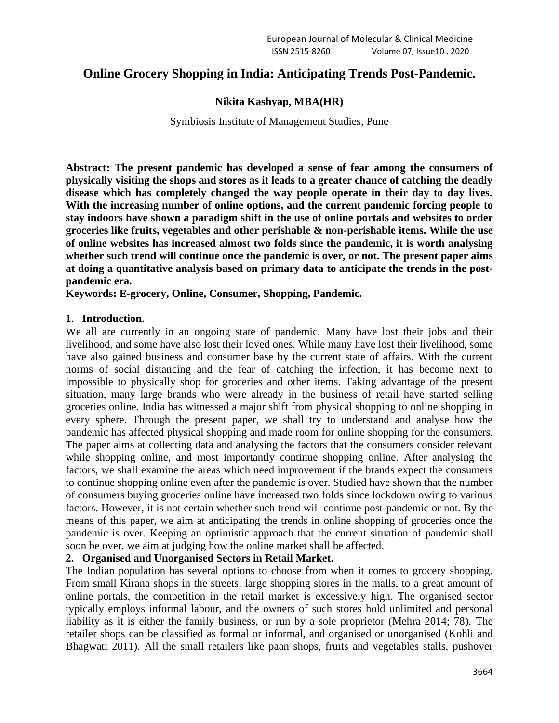# **Online Grocery Shopping in India: Anticipating Trends Post-Pandemic.**

### **Nikita Kashyap, MBA(HR)**

Symbiosis Institute of Management Studies, Pune

**Abstract: The present pandemic has developed a sense of fear among the consumers of physically visiting the shops and stores as it leads to a greater chance of catching the deadly disease which has completely changed the way people operate in their day to day lives. With the increasing number of online options, and the current pandemic forcing people to stay indoors have shown a paradigm shift in the use of online portals and websites to order groceries like fruits, vegetables and other perishable & non-perishable items. While the use of online websites has increased almost two folds since the pandemic, it is worth analysing whether such trend will continue once the pandemic is over, or not. The present paper aims at doing a quantitative analysis based on primary data to anticipate the trends in the postpandemic era.** 

**Keywords: E-grocery, Online, Consumer, Shopping, Pandemic.** 

### **1. Introduction.**

We all are currently in an ongoing state of pandemic. Many have lost their jobs and their livelihood, and some have also lost their loved ones. While many have lost their livelihood, some have also gained business and consumer base by the current state of affairs. With the current norms of social distancing and the fear of catching the infection, it has become next to impossible to physically shop for groceries and other items. Taking advantage of the present situation, many large brands who were already in the business of retail have started selling groceries online. India has witnessed a major shift from physical shopping to online shopping in every sphere. Through the present paper, we shall try to understand and analyse how the pandemic has affected physical shopping and made room for online shopping for the consumers. The paper aims at collecting data and analysing the factors that the consumers consider relevant while shopping online, and most importantly continue shopping online. After analysing the factors, we shall examine the areas which need improvement if the brands expect the consumers to continue shopping online even after the pandemic is over. Studied have shown that the number of consumers buying groceries online have increased two folds since lockdown owing to various factors. However, it is not certain whether such trend will continue post-pandemic or not. By the means of this paper, we aim at anticipating the trends in online shopping of groceries once the pandemic is over. Keeping an optimistic approach that the current situation of pandemic shall soon be over, we aim at judging how the online market shall be affected.

# **2. Organised and Unorganised Sectors in Retail Market.**

The Indian population has several options to choose from when it comes to grocery shopping. From small Kirana shops in the streets, large shopping stores in the malls, to a great amount of online portals, the competition in the retail market is excessively high. The organised sector typically employs informal labour, and the owners of such stores hold unlimited and personal liability as it is either the family business, or run by a sole proprietor (Mehra 2014; 78). The retailer shops can be classified as formal or informal, and organised or unorganised (Kohli and Bhagwati 2011). All the small retailers like paan shops, fruits and vegetables stalls, pushover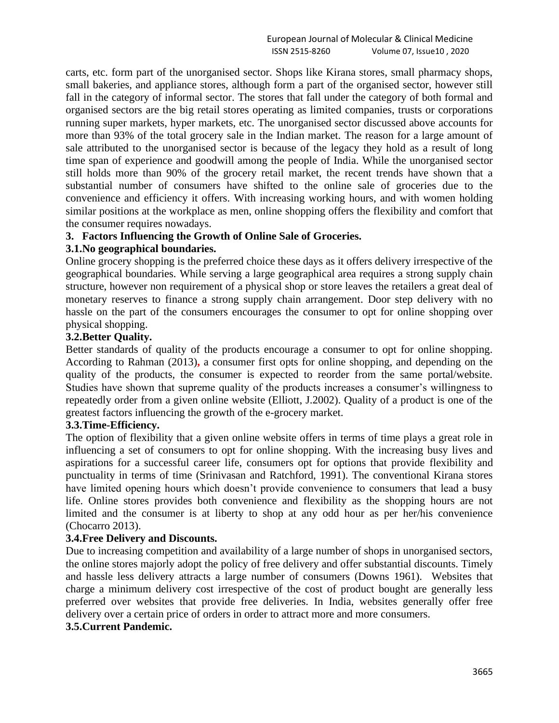carts, etc. form part of the unorganised sector. Shops like Kirana stores, small pharmacy shops, small bakeries, and appliance stores, although form a part of the organised sector, however still fall in the category of informal sector. The stores that fall under the category of both formal and organised sectors are the big retail stores operating as limited companies, trusts or corporations running super markets, hyper markets, etc. The unorganised sector discussed above accounts for more than 93% of the total grocery sale in the Indian market. The reason for a large amount of sale attributed to the unorganised sector is because of the legacy they hold as a result of long time span of experience and goodwill among the people of India. While the unorganised sector still holds more than 90% of the grocery retail market, the recent trends have shown that a substantial number of consumers have shifted to the online sale of groceries due to the convenience and efficiency it offers. With increasing working hours, and with women holding similar positions at the workplace as men, online shopping offers the flexibility and comfort that the consumer requires nowadays.

# **3. Factors Influencing the Growth of Online Sale of Groceries.**

### **3.1.No geographical boundaries.**

Online grocery shopping is the preferred choice these days as it offers delivery irrespective of the geographical boundaries. While serving a large geographical area requires a strong supply chain structure, however non requirement of a physical shop or store leaves the retailers a great deal of monetary reserves to finance a strong supply chain arrangement. Door step delivery with no hassle on the part of the consumers encourages the consumer to opt for online shopping over physical shopping.

# **3.2.Better Quality.**

Better standards of quality of the products encourage a consumer to opt for online shopping. According to Rahman (2013)**,** a consumer first opts for online shopping, and depending on the quality of the products, the consumer is expected to reorder from the same portal/website. Studies have shown that supreme quality of the products increases a consumer's willingness to repeatedly order from a given online website (Elliott, J.2002). Quality of a product is one of the greatest factors influencing the growth of the e-grocery market.

# **3.3.Time-Efficiency.**

The option of flexibility that a given online website offers in terms of time plays a great role in influencing a set of consumers to opt for online shopping. With the increasing busy lives and aspirations for a successful career life, consumers opt for options that provide flexibility and punctuality in terms of time (Srinivasan and Ratchford, 1991). The conventional Kirana stores have limited opening hours which doesn't provide convenience to consumers that lead a busy life. Online stores provides both convenience and flexibility as the shopping hours are not limited and the consumer is at liberty to shop at any odd hour as per her/his convenience (Chocarro 2013).

### **3.4.Free Delivery and Discounts.**

Due to increasing competition and availability of a large number of shops in unorganised sectors, the online stores majorly adopt the policy of free delivery and offer substantial discounts. Timely and hassle less delivery attracts a large number of consumers (Downs 1961). Websites that charge a minimum delivery cost irrespective of the cost of product bought are generally less preferred over websites that provide free deliveries. In India, websites generally offer free delivery over a certain price of orders in order to attract more and more consumers.

# **3.5.Current Pandemic.**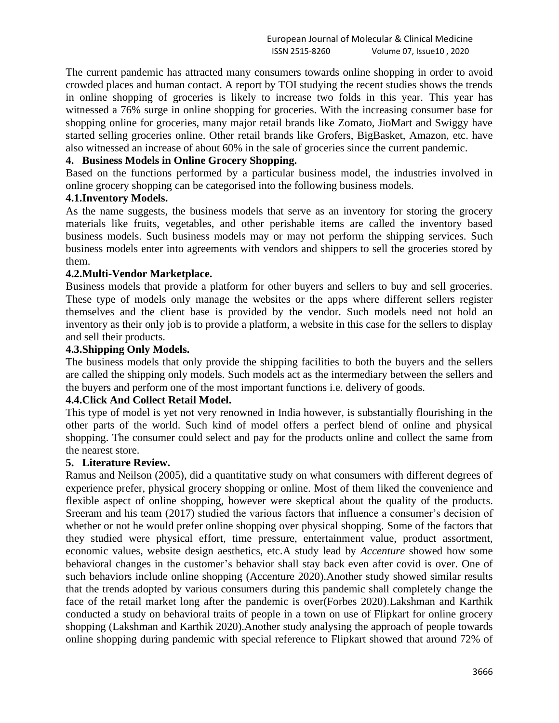The current pandemic has attracted many consumers towards online shopping in order to avoid crowded places and human contact. A report by TOI studying the recent studies shows the trends in online shopping of groceries is likely to increase two folds in this year. This year has witnessed a 76% surge in online shopping for groceries. With the increasing consumer base for shopping online for groceries, many major retail brands like Zomato, JioMart and Swiggy have started selling groceries online. Other retail brands like Grofers, BigBasket, Amazon, etc. have also witnessed an increase of about 60% in the sale of groceries since the current pandemic.

# **4. Business Models in Online Grocery Shopping.**

Based on the functions performed by a particular business model, the industries involved in online grocery shopping can be categorised into the following business models.

# **4.1.Inventory Models.**

As the name suggests, the business models that serve as an inventory for storing the grocery materials like fruits, vegetables, and other perishable items are called the inventory based business models. Such business models may or may not perform the shipping services. Such business models enter into agreements with vendors and shippers to sell the groceries stored by them.

#### **4.2.Multi-Vendor Marketplace.**

Business models that provide a platform for other buyers and sellers to buy and sell groceries. These type of models only manage the websites or the apps where different sellers register themselves and the client base is provided by the vendor. Such models need not hold an inventory as their only job is to provide a platform, a website in this case for the sellers to display and sell their products.

### **4.3.Shipping Only Models.**

The business models that only provide the shipping facilities to both the buyers and the sellers are called the shipping only models. Such models act as the intermediary between the sellers and the buyers and perform one of the most important functions i.e. delivery of goods.

# **4.4.Click And Collect Retail Model.**

This type of model is yet not very renowned in India however, is substantially flourishing in the other parts of the world. Such kind of model offers a perfect blend of online and physical shopping. The consumer could select and pay for the products online and collect the same from the nearest store.

#### **5. Literature Review.**

Ramus and Neilson (2005), did a quantitative study on what consumers with different degrees of experience prefer, physical grocery shopping or online. Most of them liked the convenience and flexible aspect of online shopping, however were skeptical about the quality of the products. Sreeram and his team (2017) studied the various factors that influence a consumer's decision of whether or not he would prefer online shopping over physical shopping. Some of the factors that they studied were physical effort, time pressure, entertainment value, product assortment, economic values, website design aesthetics, etc.A study lead by *Accenture* showed how some behavioral changes in the customer's behavior shall stay back even after covid is over. One of such behaviors include online shopping (Accenture 2020).Another study showed similar results that the trends adopted by various consumers during this pandemic shall completely change the face of the retail market long after the pandemic is over(Forbes 2020).Lakshman and Karthik conducted a study on behavioral traits of people in a town on use of Flipkart for online grocery shopping (Lakshman and Karthik 2020).Another study analysing the approach of people towards online shopping during pandemic with special reference to Flipkart showed that around 72% of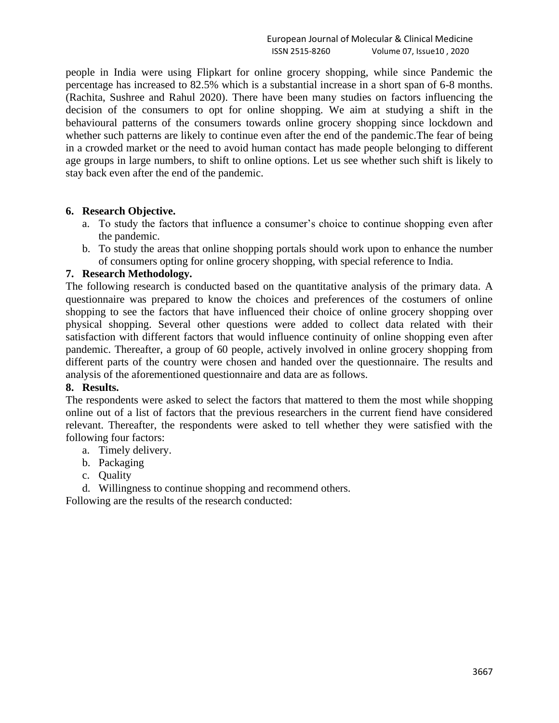people in India were using Flipkart for online grocery shopping, while since Pandemic the percentage has increased to 82.5% which is a substantial increase in a short span of 6-8 months. (Rachita, Sushree and Rahul 2020). There have been many studies on factors influencing the decision of the consumers to opt for online shopping. We aim at studying a shift in the behavioural patterns of the consumers towards online grocery shopping since lockdown and whether such patterns are likely to continue even after the end of the pandemic.The fear of being in a crowded market or the need to avoid human contact has made people belonging to different age groups in large numbers, to shift to online options. Let us see whether such shift is likely to stay back even after the end of the pandemic.

### **6. Research Objective.**

- a. To study the factors that influence a consumer's choice to continue shopping even after the pandemic.
- b. To study the areas that online shopping portals should work upon to enhance the number of consumers opting for online grocery shopping, with special reference to India.

### **7. Research Methodology.**

The following research is conducted based on the quantitative analysis of the primary data. A questionnaire was prepared to know the choices and preferences of the costumers of online shopping to see the factors that have influenced their choice of online grocery shopping over physical shopping. Several other questions were added to collect data related with their satisfaction with different factors that would influence continuity of online shopping even after pandemic. Thereafter, a group of 60 people, actively involved in online grocery shopping from different parts of the country were chosen and handed over the questionnaire. The results and analysis of the aforementioned questionnaire and data are as follows.

# **8. Results.**

The respondents were asked to select the factors that mattered to them the most while shopping online out of a list of factors that the previous researchers in the current fiend have considered relevant. Thereafter, the respondents were asked to tell whether they were satisfied with the following four factors:

- a. Timely delivery.
- b. Packaging
- c. Quality
- d. Willingness to continue shopping and recommend others.

Following are the results of the research conducted: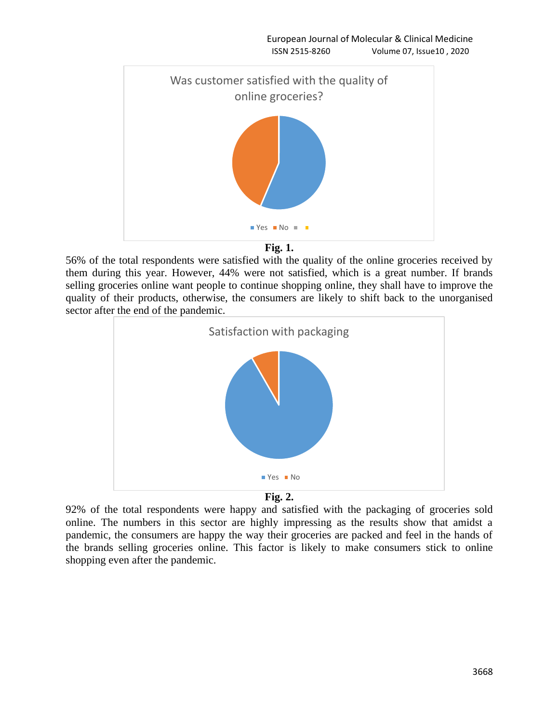

**Fig. 1.**

56% of the total respondents were satisfied with the quality of the online groceries received by them during this year. However, 44% were not satisfied, which is a great number. If brands selling groceries online want people to continue shopping online, they shall have to improve the quality of their products, otherwise, the consumers are likely to shift back to the unorganised sector after the end of the pandemic.





92% of the total respondents were happy and satisfied with the packaging of groceries sold online. The numbers in this sector are highly impressing as the results show that amidst a pandemic, the consumers are happy the way their groceries are packed and feel in the hands of the brands selling groceries online. This factor is likely to make consumers stick to online shopping even after the pandemic.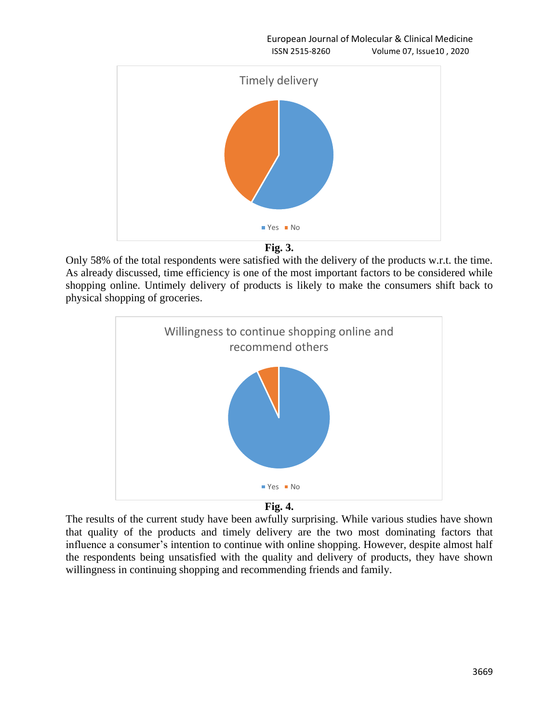European Journal of Molecular & Clinical Medicine ISSN 2515-8260 Volume 07, Issue10 , 2020





Only 58% of the total respondents were satisfied with the delivery of the products w.r.t. the time. As already discussed, time efficiency is one of the most important factors to be considered while shopping online. Untimely delivery of products is likely to make the consumers shift back to physical shopping of groceries.





The results of the current study have been awfully surprising. While various studies have shown that quality of the products and timely delivery are the two most dominating factors that influence a consumer's intention to continue with online shopping. However, despite almost half the respondents being unsatisfied with the quality and delivery of products, they have shown willingness in continuing shopping and recommending friends and family.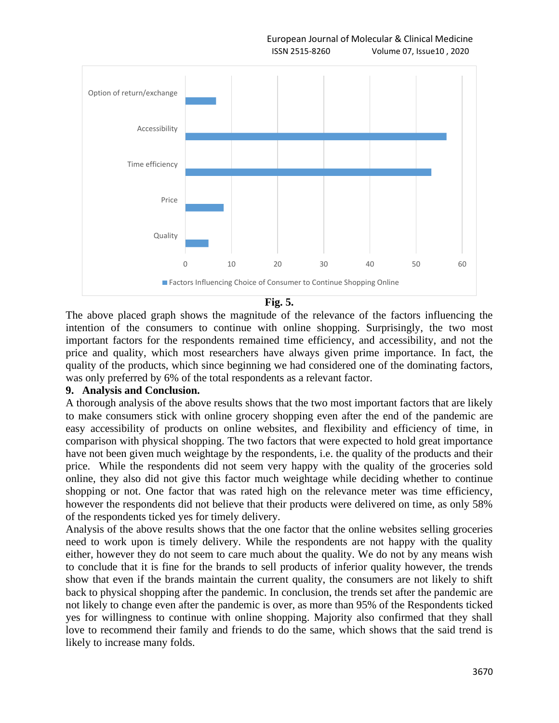



The above placed graph shows the magnitude of the relevance of the factors influencing the intention of the consumers to continue with online shopping. Surprisingly, the two most important factors for the respondents remained time efficiency, and accessibility, and not the price and quality, which most researchers have always given prime importance. In fact, the quality of the products, which since beginning we had considered one of the dominating factors, was only preferred by 6% of the total respondents as a relevant factor.

### **9. Analysis and Conclusion.**

A thorough analysis of the above results shows that the two most important factors that are likely to make consumers stick with online grocery shopping even after the end of the pandemic are easy accessibility of products on online websites, and flexibility and efficiency of time, in comparison with physical shopping. The two factors that were expected to hold great importance have not been given much weightage by the respondents, i.e. the quality of the products and their price. While the respondents did not seem very happy with the quality of the groceries sold online, they also did not give this factor much weightage while deciding whether to continue shopping or not. One factor that was rated high on the relevance meter was time efficiency, however the respondents did not believe that their products were delivered on time, as only 58% of the respondents ticked yes for timely delivery.

Analysis of the above results shows that the one factor that the online websites selling groceries need to work upon is timely delivery. While the respondents are not happy with the quality either, however they do not seem to care much about the quality. We do not by any means wish to conclude that it is fine for the brands to sell products of inferior quality however, the trends show that even if the brands maintain the current quality, the consumers are not likely to shift back to physical shopping after the pandemic. In conclusion, the trends set after the pandemic are not likely to change even after the pandemic is over, as more than 95% of the Respondents ticked yes for willingness to continue with online shopping. Majority also confirmed that they shall love to recommend their family and friends to do the same, which shows that the said trend is likely to increase many folds.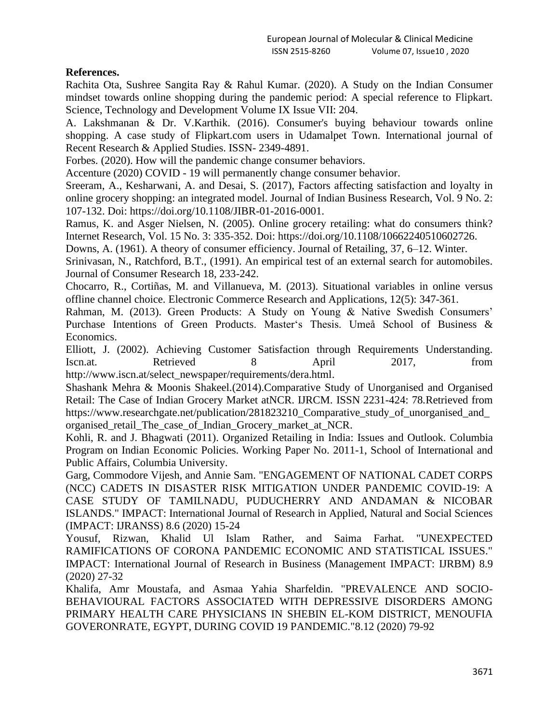# **References.**

Rachita Ota, Sushree Sangita Ray & Rahul Kumar. (2020). A Study on the Indian Consumer mindset towards online shopping during the pandemic period: A special reference to Flipkart. Science, Technology and Development Volume IX Issue VII: 204.

A. Lakshmanan & Dr. V.Karthik. (2016). Consumer's buying behaviour towards online shopping. A case study of Flipkart.com users in Udamalpet Town. International journal of Recent Research & Applied Studies. ISSN- 2349-4891.

Forbes. (2020). How will the pandemic change consumer behaviors.

Accenture (2020) COVID - 19 will permanently change consumer behavior.

Sreeram, A., Kesharwani, A. and Desai, S. (2017), Factors affecting satisfaction and loyalty in online grocery shopping: an integrated model. Journal of Indian Business Research, Vol. 9 No. 2: 107-132. Doi: https://doi.org/10.1108/JIBR-01-2016-0001.

Ramus, K. and Asger Nielsen, N. (2005). Online grocery retailing: what do consumers think? Internet Research, Vol. 15 No. 3: 335-352. Doi: https://doi.org/10.1108/10662240510602726.

Downs, A. (1961). A theory of consumer efficiency. Journal of Retailing, 37, 6–12. Winter.

Srinivasan, N., Ratchford, B.T., (1991). An empirical test of an external search for automobiles. Journal of Consumer Research 18, 233-242.

Chocarro, R., Cortiñas, M. and Villanueva, M. (2013). Situational variables in online versus offline channel choice. Electronic Commerce Research and Applications, 12(5): 347-361.

Rahman, M. (2013). Green Products: A Study on Young & Native Swedish Consumers' Purchase Intentions of Green Products. Master's Thesis. Umeå School of Business & Economics.

Elliott, J. (2002). Achieving Customer Satisfaction through Requirements Understanding. Iscn.at. Retrieved 8 April 2017, from http://www.iscn.at/select\_newspaper/requirements/dera.html.

Shashank Mehra & Moonis Shakeel.(2014).Comparative Study of Unorganised and Organised Retail: The Case of Indian Grocery Market atNCR. IJRCM. ISSN 2231-424: 78*.*Retrieved from https://www.researchgate.net/publication/281823210 Comparative study of unorganised and organised\_retail\_The\_case\_of\_Indian\_Grocery\_market\_at\_NCR.

Kohli, R. and J. Bhagwati (2011). Organized Retailing in India: Issues and Outlook. Columbia Program on Indian Economic Policies. Working Paper No. 2011-1, School of International and Public Affairs, Columbia University.

Garg, Commodore Vijesh, and Annie Sam. "ENGAGEMENT OF NATIONAL CADET CORPS (NCC) CADETS IN DISASTER RISK MITIGATION UNDER PANDEMIC COVID-19: A CASE STUDY OF TAMILNADU, PUDUCHERRY AND ANDAMAN & NICOBAR ISLANDS." IMPACT: International Journal of Research in Applied, Natural and Social Sciences (IMPACT: IJRANSS) 8.6 (2020) 15-24

Yousuf, Rizwan, Khalid Ul Islam Rather, and Saima Farhat. "UNEXPECTED RAMIFICATIONS OF CORONA PANDEMIC ECONOMIC AND STATISTICAL ISSUES." IMPACT: International Journal of Research in Business (Management IMPACT: IJRBM) 8.9 (2020) 27-32

Khalifa, Amr Moustafa, and Asmaa Yahia Sharfeldin. "PREVALENCE AND SOCIO-BEHAVIOURAL FACTORS ASSOCIATED WITH DEPRESSIVE DISORDERS AMONG PRIMARY HEALTH CARE PHYSICIANS IN SHEBIN EL-KOM DISTRICT, MENOUFIA GOVERONRATE, EGYPT, DURING COVID 19 PANDEMIC."8.12 (2020) 79-92